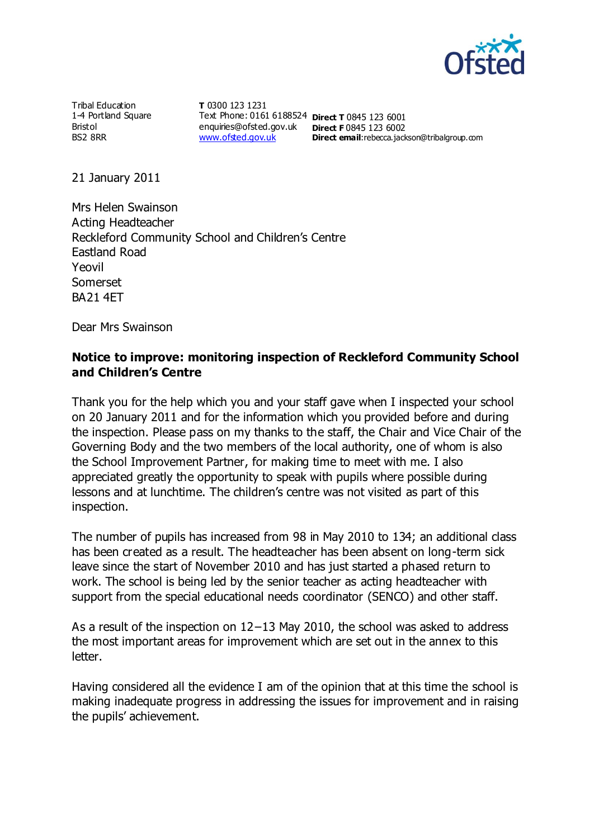

Tribal Education 1-4 Portland Square Bristol BS2 8RR

**T** 0300 123 1231 Text Phone: 0161 6188524 **Direct T** 0845 123 6001 enquiries@ofsted.gov.uk **Direct F** 0845 123 6002 [www.ofsted.gov.uk](http://www.ofsted.gov.uk/) **Direct email:**rebecca.jackson@tribalgroup.com

21 January 2011

Mrs Helen Swainson Acting Headteacher Reckleford Community School and Children's Centre Eastland Road Yeovil Somerset BA21 4ET

Dear Mrs Swainson

## **Notice to improve: monitoring inspection of Reckleford Community School and Children's Centre**

Thank you for the help which you and your staff gave when I inspected your school on 20 January 2011 and for the information which you provided before and during the inspection. Please pass on my thanks to the staff, the Chair and Vice Chair of the Governing Body and the two members of the local authority, one of whom is also the School Improvement Partner, for making time to meet with me. I also appreciated greatly the opportunity to speak with pupils where possible during lessons and at lunchtime. The children's centre was not visited as part of this inspection.

The number of pupils has increased from 98 in May 2010 to 134; an additional class has been created as a result. The headteacher has been absent on long-term sick leave since the start of November 2010 and has just started a phased return to work. The school is being led by the senior teacher as acting headteacher with support from the special educational needs coordinator (SENCO) and other staff.

As a result of the inspection on 12−13 May 2010, the school was asked to address the most important areas for improvement which are set out in the annex to this letter.

Having considered all the evidence I am of the opinion that at this time the school is making inadequate progress in addressing the issues for improvement and in raising the pupils' achievement.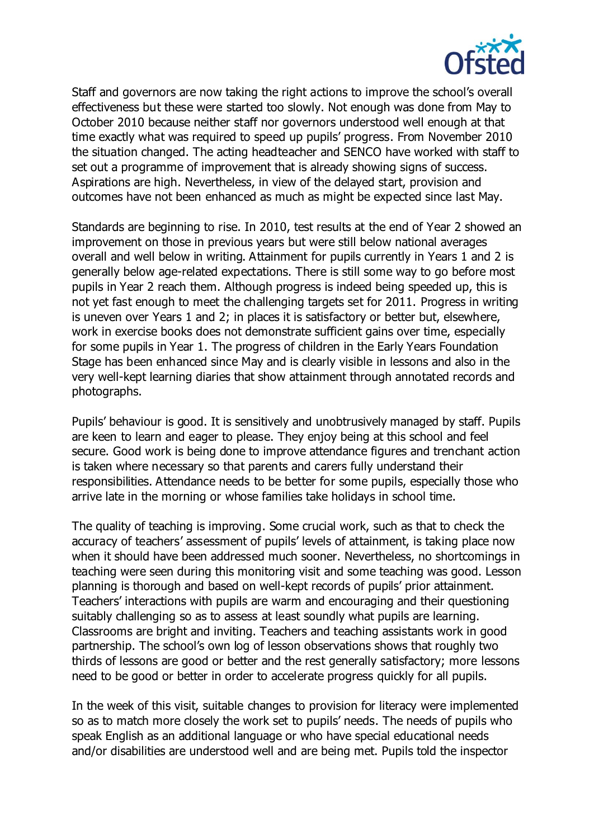

Staff and governors are now taking the right actions to improve the school's overall effectiveness but these were started too slowly. Not enough was done from May to October 2010 because neither staff nor governors understood well enough at that time exactly what was required to speed up pupils' progress. From November 2010 the situation changed. The acting headteacher and SENCO have worked with staff to set out a programme of improvement that is already showing signs of success. Aspirations are high. Nevertheless, in view of the delayed start, provision and outcomes have not been enhanced as much as might be expected since last May.

Standards are beginning to rise. In 2010, test results at the end of Year 2 showed an improvement on those in previous years but were still below national averages overall and well below in writing. Attainment for pupils currently in Years 1 and 2 is generally below age-related expectations. There is still some way to go before most pupils in Year 2 reach them. Although progress is indeed being speeded up, this is not yet fast enough to meet the challenging targets set for 2011. Progress in writing is uneven over Years 1 and 2; in places it is satisfactory or better but, elsewhere, work in exercise books does not demonstrate sufficient gains over time, especially for some pupils in Year 1. The progress of children in the Early Years Foundation Stage has been enhanced since May and is clearly visible in lessons and also in the very well-kept learning diaries that show attainment through annotated records and photographs.

Pupils' behaviour is good. It is sensitively and unobtrusively managed by staff. Pupils are keen to learn and eager to please. They enjoy being at this school and feel secure. Good work is being done to improve attendance figures and trenchant action is taken where necessary so that parents and carers fully understand their responsibilities. Attendance needs to be better for some pupils, especially those who arrive late in the morning or whose families take holidays in school time.

The quality of teaching is improving. Some crucial work, such as that to check the accuracy of teachers' assessment of pupils' levels of attainment, is taking place now when it should have been addressed much sooner. Nevertheless, no shortcomings in teaching were seen during this monitoring visit and some teaching was good. Lesson planning is thorough and based on well-kept records of pupils' prior attainment. Teachers' interactions with pupils are warm and encouraging and their questioning suitably challenging so as to assess at least soundly what pupils are learning. Classrooms are bright and inviting. Teachers and teaching assistants work in good partnership. The school's own log of lesson observations shows that roughly two thirds of lessons are good or better and the rest generally satisfactory; more lessons need to be good or better in order to accelerate progress quickly for all pupils.

In the week of this visit, suitable changes to provision for literacy were implemented so as to match more closely the work set to pupils' needs. The needs of pupils who speak English as an additional language or who have special educational needs and/or disabilities are understood well and are being met. Pupils told the inspector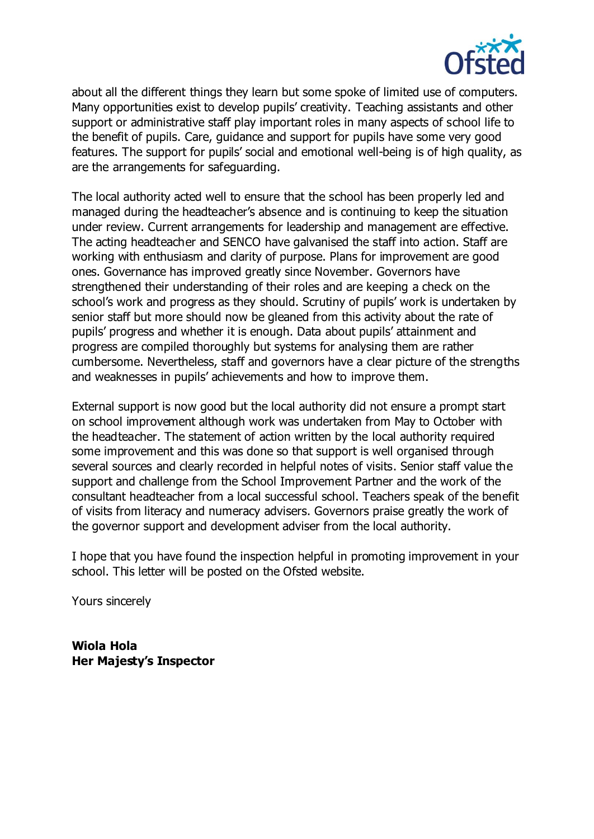

about all the different things they learn but some spoke of limited use of computers. Many opportunities exist to develop pupils' creativity. Teaching assistants and other support or administrative staff play important roles in many aspects of school life to the benefit of pupils. Care, guidance and support for pupils have some very good features. The support for pupils' social and emotional well-being is of high quality, as are the arrangements for safeguarding.

The local authority acted well to ensure that the school has been properly led and managed during the headteacher's absence and is continuing to keep the situation under review. Current arrangements for leadership and management are effective. The acting headteacher and SENCO have galvanised the staff into action. Staff are working with enthusiasm and clarity of purpose. Plans for improvement are good ones. Governance has improved greatly since November. Governors have strengthened their understanding of their roles and are keeping a check on the school's work and progress as they should. Scrutiny of pupils' work is undertaken by senior staff but more should now be gleaned from this activity about the rate of pupils' progress and whether it is enough. Data about pupils' attainment and progress are compiled thoroughly but systems for analysing them are rather cumbersome. Nevertheless, staff and governors have a clear picture of the strengths and weaknesses in pupils' achievements and how to improve them.

External support is now good but the local authority did not ensure a prompt start on school improvement although work was undertaken from May to October with the headteacher. The statement of action written by the local authority required some improvement and this was done so that support is well organised through several sources and clearly recorded in helpful notes of visits. Senior staff value the support and challenge from the School Improvement Partner and the work of the consultant headteacher from a local successful school. Teachers speak of the benefit of visits from literacy and numeracy advisers. Governors praise greatly the work of the governor support and development adviser from the local authority.

I hope that you have found the inspection helpful in promoting improvement in your school. This letter will be posted on the Ofsted website.

Yours sincerely

**Wiola Hola Her Majesty's Inspector**